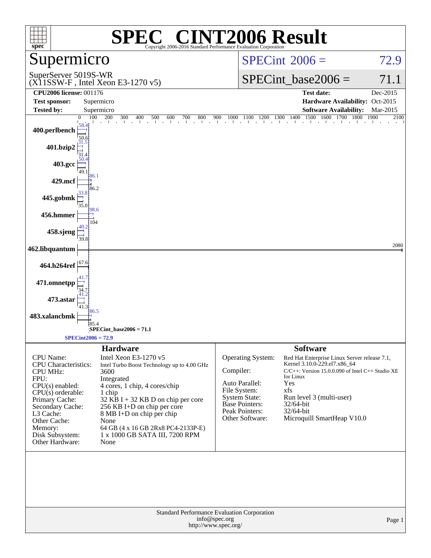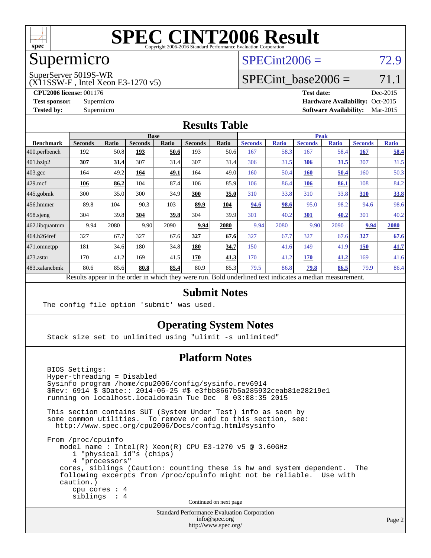

### Supermicro

#### $SPECint2006 = 72.9$  $SPECint2006 = 72.9$

SuperServer 5019S-WR

(X11SSW-F , Intel Xeon E3-1270 v5)

**[CPU2006 license:](http://www.spec.org/auto/cpu2006/Docs/result-fields.html#CPU2006license)** 001176 **[Test date:](http://www.spec.org/auto/cpu2006/Docs/result-fields.html#Testdate)** Dec-2015 **[Test sponsor:](http://www.spec.org/auto/cpu2006/Docs/result-fields.html#Testsponsor)** Supermicro Supermicro **[Hardware Availability:](http://www.spec.org/auto/cpu2006/Docs/result-fields.html#HardwareAvailability)** Oct-2015 **[Tested by:](http://www.spec.org/auto/cpu2006/Docs/result-fields.html#Testedby)** Supermicro **Supermicro [Software Availability:](http://www.spec.org/auto/cpu2006/Docs/result-fields.html#SoftwareAvailability)** Mar-2015

SPECint base2006 =  $71.1$ 

#### **[Results Table](http://www.spec.org/auto/cpu2006/Docs/result-fields.html#ResultsTable)**

|                                                                                                          | <b>Base</b>    |       |                |       |                | <b>Peak</b> |                |              |                |              |                |              |
|----------------------------------------------------------------------------------------------------------|----------------|-------|----------------|-------|----------------|-------------|----------------|--------------|----------------|--------------|----------------|--------------|
| <b>Benchmark</b>                                                                                         | <b>Seconds</b> | Ratio | <b>Seconds</b> | Ratio | <b>Seconds</b> | Ratio       | <b>Seconds</b> | <b>Ratio</b> | <b>Seconds</b> | <b>Ratio</b> | <b>Seconds</b> | <b>Ratio</b> |
| $ 400.\text{perlbench}$                                                                                  | 192            | 50.8  | 193            | 50.6  | 193            | 50.6        | 167            | 58.3         | 167            | 58.4         | <b>167</b>     | 58.4         |
| 401.bzip2                                                                                                | <u>307</u>     | 31.4  | 307            | 31.4  | 307            | 31.4        | 306            | 31.5         | 306            | 31.5         | 307            | 31.5         |
| $403.\text{gcc}$                                                                                         | 164            | 49.2  | 164            | 49.1  | 164            | 49.0        | 160            | 50.4         | <b>160</b>     | 50.4         | 160            | 50.3         |
| $429$ mcf                                                                                                | 106            | 86.2  | 104            | 87.4  | 106            | 85.9        | 106            | 86.4         | 106            | 86.1         | 108            | 84.2         |
| $445$ .gobmk                                                                                             | 300            | 35.0  | 300            | 34.9  | 300            | 35.0        | 310            | 33.8         | 310            | 33.8         | 310            | 33.8         |
| 456.hmmer                                                                                                | 89.8           | 104   | 90.3           | 103   | 89.9           | 104         | 94.6           | 98.6         | 95.0           | 98.2         | 94.6           | 98.6         |
| $458$ .sjeng                                                                                             | 304            | 39.8  | 304            | 39.8  | 304            | 39.9        | 301            | 40.2         | 301            | 40.2         | 301            | 40.2         |
| 462.libquantum                                                                                           | 9.94           | 2080  | 9.90           | 2090  | 9.94           | 2080        | 9.94           | 2080         | 9.90           | 2090         | 9.94           | 2080         |
| 464.h264ref                                                                                              | 327            | 67.7  | 327            | 67.6  | 327            | 67.6        | 327            | 67.7         | 327            | 67.6         | 327            | 67.6         |
| $ 471$ .omnetpp                                                                                          | 181            | 34.6  | 180            | 34.8  | 180            | 34.7        | 150            | 41.6         | 149            | 41.9         | 150            | 41.7         |
| $473$ . astar                                                                                            | 170            | 41.2  | 169            | 41.5  | 170            | 41.3        | 170            | 41.2         | 170            | 41.2         | 169            | 41.6         |
| 483.xalancbmk                                                                                            | 80.6           | 85.6  | 80.8           | 85.4  | 80.9           | 85.3        | 79.5           | 86.8         | 79.8           | 86.5         | 79.9           | 86.4         |
| Results appear in the order in which they were run. Bold underlined text indicates a median measurement. |                |       |                |       |                |             |                |              |                |              |                |              |

#### **[Submit Notes](http://www.spec.org/auto/cpu2006/Docs/result-fields.html#SubmitNotes)**

The config file option 'submit' was used.

#### **[Operating System Notes](http://www.spec.org/auto/cpu2006/Docs/result-fields.html#OperatingSystemNotes)**

Stack size set to unlimited using "ulimit -s unlimited"

#### **[Platform Notes](http://www.spec.org/auto/cpu2006/Docs/result-fields.html#PlatformNotes)**

 BIOS Settings: Hyper-threading = Disabled Sysinfo program /home/cpu2006/config/sysinfo.rev6914 \$Rev: 6914 \$ \$Date:: 2014-06-25 #\$ e3fbb8667b5a285932ceab81e28219e1 running on localhost.localdomain Tue Dec 8 03:08:35 2015 This section contains SUT (System Under Test) info as seen by some common utilities. To remove or add to this section, see: <http://www.spec.org/cpu2006/Docs/config.html#sysinfo> From /proc/cpuinfo model name : Intel(R) Xeon(R) CPU E3-1270 v5 @ 3.60GHz 1 "physical id"s (chips) 4 "processors" cores, siblings (Caution: counting these is hw and system dependent. The following excerpts from /proc/cpuinfo might not be reliable. Use with caution.) cpu cores : 4 siblings : 4 Continued on next page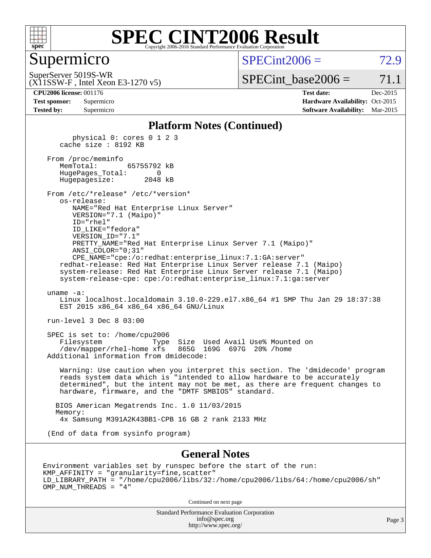

#### Supermicro

 $SPECint2006 = 72.9$  $SPECint2006 = 72.9$ 

(X11SSW-F , Intel Xeon E3-1270 v5) SuperServer 5019S-WR

 $SPECTnt\_base2006 = 71.1$ 

**[CPU2006 license:](http://www.spec.org/auto/cpu2006/Docs/result-fields.html#CPU2006license)** 001176 **[Test date:](http://www.spec.org/auto/cpu2006/Docs/result-fields.html#Testdate)** Dec-2015

| <b>Test sponsor:</b> | Supermicro |
|----------------------|------------|
| <b>Tested by:</b>    | Supermicro |

**[Hardware Availability:](http://www.spec.org/auto/cpu2006/Docs/result-fields.html#HardwareAvailability)** Oct-2015 **[Software Availability:](http://www.spec.org/auto/cpu2006/Docs/result-fields.html#SoftwareAvailability)** Mar-2015

#### **[Platform Notes \(Continued\)](http://www.spec.org/auto/cpu2006/Docs/result-fields.html#PlatformNotes)**

 physical 0: cores 0 1 2 3 cache size : 8192 KB From /proc/meminfo MemTotal: 65755792 kB HugePages\_Total: 0 Hugepagesize: 2048 kB From /etc/\*release\* /etc/\*version\* os-release: NAME="Red Hat Enterprise Linux Server" VERSION="7.1 (Maipo)" ID="rhel" ID\_LIKE="fedora" VERSION\_ID="7.1" PRETTY\_NAME="Red Hat Enterprise Linux Server 7.1 (Maipo)" ANSI\_COLOR="0;31" CPE\_NAME="cpe:/o:redhat:enterprise\_linux:7.1:GA:server" redhat-release: Red Hat Enterprise Linux Server release 7.1 (Maipo) system-release: Red Hat Enterprise Linux Server release 7.1 (Maipo) system-release-cpe: cpe:/o:redhat:enterprise\_linux:7.1:ga:server uname -a: Linux localhost.localdomain 3.10.0-229.el7.x86\_64 #1 SMP Thu Jan 29 18:37:38 EST 2015 x86 64 x86 64 x86 64 GNU/Linux run-level 3 Dec 8 03:00 SPEC is set to: /home/cpu2006 Filesystem Type Size Used Avail Use% Mounted on /dev/mapper/rhel-home xfs 865G 169G 697G 20% /home Additional information from dmidecode: Warning: Use caution when you interpret this section. The 'dmidecode' program reads system data which is "intended to allow hardware to be accurately determined", but the intent may not be met, as there are frequent changes to hardware, firmware, and the "DMTF SMBIOS" standard. BIOS American Megatrends Inc. 1.0 11/03/2015 Memory: 4x Samsung M391A2K43BB1-CPB 16 GB 2 rank 2133 MHz (End of data from sysinfo program)

#### **[General Notes](http://www.spec.org/auto/cpu2006/Docs/result-fields.html#GeneralNotes)**

Environment variables set by runspec before the start of the run: KMP\_AFFINITY = "granularity=fine,scatter" LD\_LIBRARY\_PATH = "/home/cpu2006/libs/32:/home/cpu2006/libs/64:/home/cpu2006/sh" OMP\_NUM\_THREADS = "4"

Continued on next page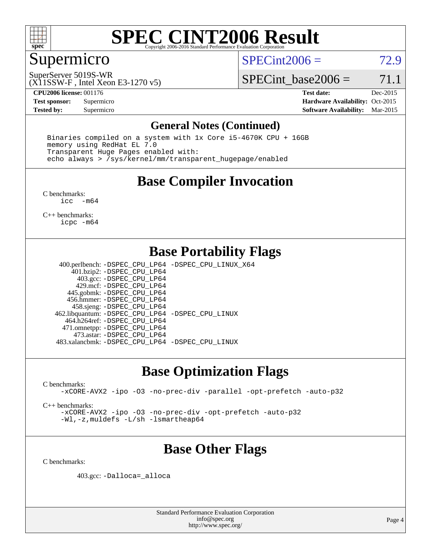

### Supermicro

 $SPECint2006 = 72.9$  $SPECint2006 = 72.9$ 

(X11SSW-F , Intel Xeon E3-1270 v5) SuperServer 5019S-WR

SPECint base2006 =  $71.1$ 

**[CPU2006 license:](http://www.spec.org/auto/cpu2006/Docs/result-fields.html#CPU2006license)** 001176 **[Test date:](http://www.spec.org/auto/cpu2006/Docs/result-fields.html#Testdate)** Dec-2015 **[Test sponsor:](http://www.spec.org/auto/cpu2006/Docs/result-fields.html#Testsponsor)** Supermicro Supermicro **[Hardware Availability:](http://www.spec.org/auto/cpu2006/Docs/result-fields.html#HardwareAvailability)** Oct-2015 **[Tested by:](http://www.spec.org/auto/cpu2006/Docs/result-fields.html#Testedby)** Supermicro **Supermicro [Software Availability:](http://www.spec.org/auto/cpu2006/Docs/result-fields.html#SoftwareAvailability)** Mar-2015

#### **[General Notes \(Continued\)](http://www.spec.org/auto/cpu2006/Docs/result-fields.html#GeneralNotes)**

 Binaries compiled on a system with 1x Core i5-4670K CPU + 16GB memory using RedHat EL 7.0 Transparent Huge Pages enabled with: echo always > /sys/kernel/mm/transparent\_hugepage/enabled

### **[Base Compiler Invocation](http://www.spec.org/auto/cpu2006/Docs/result-fields.html#BaseCompilerInvocation)**

[C benchmarks](http://www.spec.org/auto/cpu2006/Docs/result-fields.html#Cbenchmarks): [icc -m64](http://www.spec.org/cpu2006/results/res2016q1/cpu2006-20160125-38783.flags.html#user_CCbase_intel_icc_64bit_f346026e86af2a669e726fe758c88044)

[C++ benchmarks:](http://www.spec.org/auto/cpu2006/Docs/result-fields.html#CXXbenchmarks) [icpc -m64](http://www.spec.org/cpu2006/results/res2016q1/cpu2006-20160125-38783.flags.html#user_CXXbase_intel_icpc_64bit_fc66a5337ce925472a5c54ad6a0de310)

### **[Base Portability Flags](http://www.spec.org/auto/cpu2006/Docs/result-fields.html#BasePortabilityFlags)**

 400.perlbench: [-DSPEC\\_CPU\\_LP64](http://www.spec.org/cpu2006/results/res2016q1/cpu2006-20160125-38783.flags.html#b400.perlbench_basePORTABILITY_DSPEC_CPU_LP64) [-DSPEC\\_CPU\\_LINUX\\_X64](http://www.spec.org/cpu2006/results/res2016q1/cpu2006-20160125-38783.flags.html#b400.perlbench_baseCPORTABILITY_DSPEC_CPU_LINUX_X64) 401.bzip2: [-DSPEC\\_CPU\\_LP64](http://www.spec.org/cpu2006/results/res2016q1/cpu2006-20160125-38783.flags.html#suite_basePORTABILITY401_bzip2_DSPEC_CPU_LP64) 403.gcc: [-DSPEC\\_CPU\\_LP64](http://www.spec.org/cpu2006/results/res2016q1/cpu2006-20160125-38783.flags.html#suite_basePORTABILITY403_gcc_DSPEC_CPU_LP64) 429.mcf: [-DSPEC\\_CPU\\_LP64](http://www.spec.org/cpu2006/results/res2016q1/cpu2006-20160125-38783.flags.html#suite_basePORTABILITY429_mcf_DSPEC_CPU_LP64) 445.gobmk: [-DSPEC\\_CPU\\_LP64](http://www.spec.org/cpu2006/results/res2016q1/cpu2006-20160125-38783.flags.html#suite_basePORTABILITY445_gobmk_DSPEC_CPU_LP64) 456.hmmer: [-DSPEC\\_CPU\\_LP64](http://www.spec.org/cpu2006/results/res2016q1/cpu2006-20160125-38783.flags.html#suite_basePORTABILITY456_hmmer_DSPEC_CPU_LP64) 458.sjeng: [-DSPEC\\_CPU\\_LP64](http://www.spec.org/cpu2006/results/res2016q1/cpu2006-20160125-38783.flags.html#suite_basePORTABILITY458_sjeng_DSPEC_CPU_LP64) 462.libquantum: [-DSPEC\\_CPU\\_LP64](http://www.spec.org/cpu2006/results/res2016q1/cpu2006-20160125-38783.flags.html#suite_basePORTABILITY462_libquantum_DSPEC_CPU_LP64) [-DSPEC\\_CPU\\_LINUX](http://www.spec.org/cpu2006/results/res2016q1/cpu2006-20160125-38783.flags.html#b462.libquantum_baseCPORTABILITY_DSPEC_CPU_LINUX) 464.h264ref: [-DSPEC\\_CPU\\_LP64](http://www.spec.org/cpu2006/results/res2016q1/cpu2006-20160125-38783.flags.html#suite_basePORTABILITY464_h264ref_DSPEC_CPU_LP64) 471.omnetpp: [-DSPEC\\_CPU\\_LP64](http://www.spec.org/cpu2006/results/res2016q1/cpu2006-20160125-38783.flags.html#suite_basePORTABILITY471_omnetpp_DSPEC_CPU_LP64) 473.astar: [-DSPEC\\_CPU\\_LP64](http://www.spec.org/cpu2006/results/res2016q1/cpu2006-20160125-38783.flags.html#suite_basePORTABILITY473_astar_DSPEC_CPU_LP64) 483.xalancbmk: [-DSPEC\\_CPU\\_LP64](http://www.spec.org/cpu2006/results/res2016q1/cpu2006-20160125-38783.flags.html#suite_basePORTABILITY483_xalancbmk_DSPEC_CPU_LP64) [-DSPEC\\_CPU\\_LINUX](http://www.spec.org/cpu2006/results/res2016q1/cpu2006-20160125-38783.flags.html#b483.xalancbmk_baseCXXPORTABILITY_DSPEC_CPU_LINUX)

#### **[Base Optimization Flags](http://www.spec.org/auto/cpu2006/Docs/result-fields.html#BaseOptimizationFlags)**

[C benchmarks](http://www.spec.org/auto/cpu2006/Docs/result-fields.html#Cbenchmarks):

[-xCORE-AVX2](http://www.spec.org/cpu2006/results/res2016q1/cpu2006-20160125-38783.flags.html#user_CCbase_f-xAVX2_5f5fc0cbe2c9f62c816d3e45806c70d7) [-ipo](http://www.spec.org/cpu2006/results/res2016q1/cpu2006-20160125-38783.flags.html#user_CCbase_f-ipo) [-O3](http://www.spec.org/cpu2006/results/res2016q1/cpu2006-20160125-38783.flags.html#user_CCbase_f-O3) [-no-prec-div](http://www.spec.org/cpu2006/results/res2016q1/cpu2006-20160125-38783.flags.html#user_CCbase_f-no-prec-div) [-parallel](http://www.spec.org/cpu2006/results/res2016q1/cpu2006-20160125-38783.flags.html#user_CCbase_f-parallel) [-opt-prefetch](http://www.spec.org/cpu2006/results/res2016q1/cpu2006-20160125-38783.flags.html#user_CCbase_f-opt-prefetch) [-auto-p32](http://www.spec.org/cpu2006/results/res2016q1/cpu2006-20160125-38783.flags.html#user_CCbase_f-auto-p32)

[C++ benchmarks:](http://www.spec.org/auto/cpu2006/Docs/result-fields.html#CXXbenchmarks)

[-xCORE-AVX2](http://www.spec.org/cpu2006/results/res2016q1/cpu2006-20160125-38783.flags.html#user_CXXbase_f-xAVX2_5f5fc0cbe2c9f62c816d3e45806c70d7) [-ipo](http://www.spec.org/cpu2006/results/res2016q1/cpu2006-20160125-38783.flags.html#user_CXXbase_f-ipo) [-O3](http://www.spec.org/cpu2006/results/res2016q1/cpu2006-20160125-38783.flags.html#user_CXXbase_f-O3) [-no-prec-div](http://www.spec.org/cpu2006/results/res2016q1/cpu2006-20160125-38783.flags.html#user_CXXbase_f-no-prec-div) [-opt-prefetch](http://www.spec.org/cpu2006/results/res2016q1/cpu2006-20160125-38783.flags.html#user_CXXbase_f-opt-prefetch) [-auto-p32](http://www.spec.org/cpu2006/results/res2016q1/cpu2006-20160125-38783.flags.html#user_CXXbase_f-auto-p32) [-Wl,-z,muldefs](http://www.spec.org/cpu2006/results/res2016q1/cpu2006-20160125-38783.flags.html#user_CXXbase_link_force_multiple1_74079c344b956b9658436fd1b6dd3a8a) [-L/sh -lsmartheap64](http://www.spec.org/cpu2006/results/res2016q1/cpu2006-20160125-38783.flags.html#user_CXXbase_SmartHeap64_ed4ef857ce90951921efb0d91eb88472)

### **[Base Other Flags](http://www.spec.org/auto/cpu2006/Docs/result-fields.html#BaseOtherFlags)**

[C benchmarks](http://www.spec.org/auto/cpu2006/Docs/result-fields.html#Cbenchmarks):

403.gcc: [-Dalloca=\\_alloca](http://www.spec.org/cpu2006/results/res2016q1/cpu2006-20160125-38783.flags.html#b403.gcc_baseEXTRA_CFLAGS_Dalloca_be3056838c12de2578596ca5467af7f3)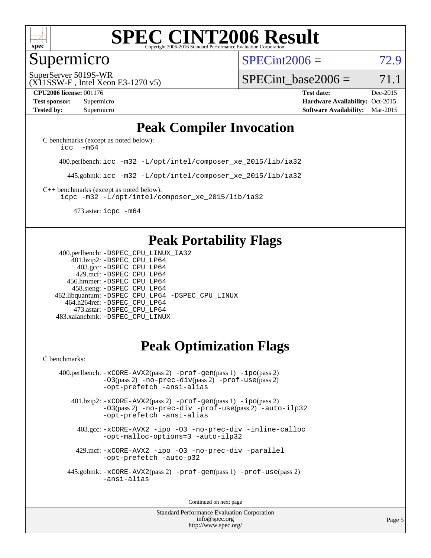

#### Supermicro

 $SPECint2006 = 72.9$  $SPECint2006 = 72.9$ 

(X11SSW-F , Intel Xeon E3-1270 v5) SuperServer 5019S-WR

SPECint base2006 =  $71.1$ 

**[CPU2006 license:](http://www.spec.org/auto/cpu2006/Docs/result-fields.html#CPU2006license)** 001176 **[Test date:](http://www.spec.org/auto/cpu2006/Docs/result-fields.html#Testdate)** Dec-2015 **[Test sponsor:](http://www.spec.org/auto/cpu2006/Docs/result-fields.html#Testsponsor)** Supermicro Supermicro **[Hardware Availability:](http://www.spec.org/auto/cpu2006/Docs/result-fields.html#HardwareAvailability)** Oct-2015 **[Tested by:](http://www.spec.org/auto/cpu2006/Docs/result-fields.html#Testedby)** Supermicro **Supermicro [Software Availability:](http://www.spec.org/auto/cpu2006/Docs/result-fields.html#SoftwareAvailability)** Mar-2015

### **[Peak Compiler Invocation](http://www.spec.org/auto/cpu2006/Docs/result-fields.html#PeakCompilerInvocation)**

[C benchmarks \(except as noted below\)](http://www.spec.org/auto/cpu2006/Docs/result-fields.html#Cbenchmarksexceptasnotedbelow): icc  $-m64$ 

400.perlbench: [icc -m32 -L/opt/intel/composer\\_xe\\_2015/lib/ia32](http://www.spec.org/cpu2006/results/res2016q1/cpu2006-20160125-38783.flags.html#user_peakCCLD400_perlbench_intel_icc_011b86df29f8c679b747245588698a4d)

445.gobmk: [icc -m32 -L/opt/intel/composer\\_xe\\_2015/lib/ia32](http://www.spec.org/cpu2006/results/res2016q1/cpu2006-20160125-38783.flags.html#user_peakCCLD445_gobmk_intel_icc_011b86df29f8c679b747245588698a4d)

[C++ benchmarks \(except as noted below\):](http://www.spec.org/auto/cpu2006/Docs/result-fields.html#CXXbenchmarksexceptasnotedbelow) [icpc -m32 -L/opt/intel/composer\\_xe\\_2015/lib/ia32](http://www.spec.org/cpu2006/results/res2016q1/cpu2006-20160125-38783.flags.html#user_CXXpeak_intel_icpc_c2c99686a1a582c3e0de0b4806b02cea)

473.astar: [icpc -m64](http://www.spec.org/cpu2006/results/res2016q1/cpu2006-20160125-38783.flags.html#user_peakCXXLD473_astar_intel_icpc_64bit_fc66a5337ce925472a5c54ad6a0de310)

### **[Peak Portability Flags](http://www.spec.org/auto/cpu2006/Docs/result-fields.html#PeakPortabilityFlags)**

 400.perlbench: [-DSPEC\\_CPU\\_LINUX\\_IA32](http://www.spec.org/cpu2006/results/res2016q1/cpu2006-20160125-38783.flags.html#b400.perlbench_peakCPORTABILITY_DSPEC_CPU_LINUX_IA32) 401.bzip2: [-DSPEC\\_CPU\\_LP64](http://www.spec.org/cpu2006/results/res2016q1/cpu2006-20160125-38783.flags.html#suite_peakPORTABILITY401_bzip2_DSPEC_CPU_LP64) 403.gcc: [-DSPEC\\_CPU\\_LP64](http://www.spec.org/cpu2006/results/res2016q1/cpu2006-20160125-38783.flags.html#suite_peakPORTABILITY403_gcc_DSPEC_CPU_LP64) 429.mcf: [-DSPEC\\_CPU\\_LP64](http://www.spec.org/cpu2006/results/res2016q1/cpu2006-20160125-38783.flags.html#suite_peakPORTABILITY429_mcf_DSPEC_CPU_LP64) 456.hmmer: [-DSPEC\\_CPU\\_LP64](http://www.spec.org/cpu2006/results/res2016q1/cpu2006-20160125-38783.flags.html#suite_peakPORTABILITY456_hmmer_DSPEC_CPU_LP64) 458.sjeng: [-DSPEC\\_CPU\\_LP64](http://www.spec.org/cpu2006/results/res2016q1/cpu2006-20160125-38783.flags.html#suite_peakPORTABILITY458_sjeng_DSPEC_CPU_LP64) 462.libquantum: [-DSPEC\\_CPU\\_LP64](http://www.spec.org/cpu2006/results/res2016q1/cpu2006-20160125-38783.flags.html#suite_peakPORTABILITY462_libquantum_DSPEC_CPU_LP64) [-DSPEC\\_CPU\\_LINUX](http://www.spec.org/cpu2006/results/res2016q1/cpu2006-20160125-38783.flags.html#b462.libquantum_peakCPORTABILITY_DSPEC_CPU_LINUX) 464.h264ref: [-DSPEC\\_CPU\\_LP64](http://www.spec.org/cpu2006/results/res2016q1/cpu2006-20160125-38783.flags.html#suite_peakPORTABILITY464_h264ref_DSPEC_CPU_LP64) 473.astar: [-DSPEC\\_CPU\\_LP64](http://www.spec.org/cpu2006/results/res2016q1/cpu2006-20160125-38783.flags.html#suite_peakPORTABILITY473_astar_DSPEC_CPU_LP64) 483.xalancbmk: [-DSPEC\\_CPU\\_LINUX](http://www.spec.org/cpu2006/results/res2016q1/cpu2006-20160125-38783.flags.html#b483.xalancbmk_peakCXXPORTABILITY_DSPEC_CPU_LINUX)

## **[Peak Optimization Flags](http://www.spec.org/auto/cpu2006/Docs/result-fields.html#PeakOptimizationFlags)**

[C benchmarks](http://www.spec.org/auto/cpu2006/Docs/result-fields.html#Cbenchmarks):

 400.perlbench: [-xCORE-AVX2](http://www.spec.org/cpu2006/results/res2016q1/cpu2006-20160125-38783.flags.html#user_peakPASS2_CFLAGSPASS2_LDCFLAGS400_perlbench_f-xAVX2_5f5fc0cbe2c9f62c816d3e45806c70d7)(pass 2) [-prof-gen](http://www.spec.org/cpu2006/results/res2016q1/cpu2006-20160125-38783.flags.html#user_peakPASS1_CFLAGSPASS1_LDCFLAGS400_perlbench_prof_gen_e43856698f6ca7b7e442dfd80e94a8fc)(pass 1) [-ipo](http://www.spec.org/cpu2006/results/res2016q1/cpu2006-20160125-38783.flags.html#user_peakPASS2_CFLAGSPASS2_LDCFLAGS400_perlbench_f-ipo)(pass 2) [-O3](http://www.spec.org/cpu2006/results/res2016q1/cpu2006-20160125-38783.flags.html#user_peakPASS2_CFLAGSPASS2_LDCFLAGS400_perlbench_f-O3)(pass 2) [-no-prec-div](http://www.spec.org/cpu2006/results/res2016q1/cpu2006-20160125-38783.flags.html#user_peakPASS2_CFLAGSPASS2_LDCFLAGS400_perlbench_f-no-prec-div)(pass 2) [-prof-use](http://www.spec.org/cpu2006/results/res2016q1/cpu2006-20160125-38783.flags.html#user_peakPASS2_CFLAGSPASS2_LDCFLAGS400_perlbench_prof_use_bccf7792157ff70d64e32fe3e1250b55)(pass 2) [-opt-prefetch](http://www.spec.org/cpu2006/results/res2016q1/cpu2006-20160125-38783.flags.html#user_peakCOPTIMIZE400_perlbench_f-opt-prefetch) [-ansi-alias](http://www.spec.org/cpu2006/results/res2016q1/cpu2006-20160125-38783.flags.html#user_peakCOPTIMIZE400_perlbench_f-ansi-alias)

 401.bzip2: [-xCORE-AVX2](http://www.spec.org/cpu2006/results/res2016q1/cpu2006-20160125-38783.flags.html#user_peakPASS2_CFLAGSPASS2_LDCFLAGS401_bzip2_f-xAVX2_5f5fc0cbe2c9f62c816d3e45806c70d7)(pass 2) [-prof-gen](http://www.spec.org/cpu2006/results/res2016q1/cpu2006-20160125-38783.flags.html#user_peakPASS1_CFLAGSPASS1_LDCFLAGS401_bzip2_prof_gen_e43856698f6ca7b7e442dfd80e94a8fc)(pass 1) [-ipo](http://www.spec.org/cpu2006/results/res2016q1/cpu2006-20160125-38783.flags.html#user_peakPASS2_CFLAGSPASS2_LDCFLAGS401_bzip2_f-ipo)(pass 2) [-O3](http://www.spec.org/cpu2006/results/res2016q1/cpu2006-20160125-38783.flags.html#user_peakPASS2_CFLAGSPASS2_LDCFLAGS401_bzip2_f-O3)(pass 2) [-no-prec-div](http://www.spec.org/cpu2006/results/res2016q1/cpu2006-20160125-38783.flags.html#user_peakCOPTIMIZEPASS2_CFLAGSPASS2_LDCFLAGS401_bzip2_f-no-prec-div) [-prof-use](http://www.spec.org/cpu2006/results/res2016q1/cpu2006-20160125-38783.flags.html#user_peakPASS2_CFLAGSPASS2_LDCFLAGS401_bzip2_prof_use_bccf7792157ff70d64e32fe3e1250b55)(pass 2) [-auto-ilp32](http://www.spec.org/cpu2006/results/res2016q1/cpu2006-20160125-38783.flags.html#user_peakCOPTIMIZE401_bzip2_f-auto-ilp32) [-opt-prefetch](http://www.spec.org/cpu2006/results/res2016q1/cpu2006-20160125-38783.flags.html#user_peakCOPTIMIZE401_bzip2_f-opt-prefetch) [-ansi-alias](http://www.spec.org/cpu2006/results/res2016q1/cpu2006-20160125-38783.flags.html#user_peakCOPTIMIZE401_bzip2_f-ansi-alias)

 403.gcc: [-xCORE-AVX2](http://www.spec.org/cpu2006/results/res2016q1/cpu2006-20160125-38783.flags.html#user_peakCOPTIMIZE403_gcc_f-xAVX2_5f5fc0cbe2c9f62c816d3e45806c70d7) [-ipo](http://www.spec.org/cpu2006/results/res2016q1/cpu2006-20160125-38783.flags.html#user_peakCOPTIMIZE403_gcc_f-ipo) [-O3](http://www.spec.org/cpu2006/results/res2016q1/cpu2006-20160125-38783.flags.html#user_peakCOPTIMIZE403_gcc_f-O3) [-no-prec-div](http://www.spec.org/cpu2006/results/res2016q1/cpu2006-20160125-38783.flags.html#user_peakCOPTIMIZE403_gcc_f-no-prec-div) [-inline-calloc](http://www.spec.org/cpu2006/results/res2016q1/cpu2006-20160125-38783.flags.html#user_peakCOPTIMIZE403_gcc_f-inline-calloc) [-opt-malloc-options=3](http://www.spec.org/cpu2006/results/res2016q1/cpu2006-20160125-38783.flags.html#user_peakCOPTIMIZE403_gcc_f-opt-malloc-options_13ab9b803cf986b4ee62f0a5998c2238) [-auto-ilp32](http://www.spec.org/cpu2006/results/res2016q1/cpu2006-20160125-38783.flags.html#user_peakCOPTIMIZE403_gcc_f-auto-ilp32)

 429.mcf: [-xCORE-AVX2](http://www.spec.org/cpu2006/results/res2016q1/cpu2006-20160125-38783.flags.html#user_peakCOPTIMIZE429_mcf_f-xAVX2_5f5fc0cbe2c9f62c816d3e45806c70d7) [-ipo](http://www.spec.org/cpu2006/results/res2016q1/cpu2006-20160125-38783.flags.html#user_peakCOPTIMIZE429_mcf_f-ipo) [-O3](http://www.spec.org/cpu2006/results/res2016q1/cpu2006-20160125-38783.flags.html#user_peakCOPTIMIZE429_mcf_f-O3) [-no-prec-div](http://www.spec.org/cpu2006/results/res2016q1/cpu2006-20160125-38783.flags.html#user_peakCOPTIMIZE429_mcf_f-no-prec-div) [-parallel](http://www.spec.org/cpu2006/results/res2016q1/cpu2006-20160125-38783.flags.html#user_peakCOPTIMIZE429_mcf_f-parallel) [-opt-prefetch](http://www.spec.org/cpu2006/results/res2016q1/cpu2006-20160125-38783.flags.html#user_peakCOPTIMIZE429_mcf_f-opt-prefetch) [-auto-p32](http://www.spec.org/cpu2006/results/res2016q1/cpu2006-20160125-38783.flags.html#user_peakCOPTIMIZE429_mcf_f-auto-p32)

 445.gobmk: [-xCORE-AVX2](http://www.spec.org/cpu2006/results/res2016q1/cpu2006-20160125-38783.flags.html#user_peakPASS2_CFLAGSPASS2_LDCFLAGS445_gobmk_f-xAVX2_5f5fc0cbe2c9f62c816d3e45806c70d7)(pass 2) [-prof-gen](http://www.spec.org/cpu2006/results/res2016q1/cpu2006-20160125-38783.flags.html#user_peakPASS1_CFLAGSPASS1_LDCFLAGS445_gobmk_prof_gen_e43856698f6ca7b7e442dfd80e94a8fc)(pass 1) [-prof-use](http://www.spec.org/cpu2006/results/res2016q1/cpu2006-20160125-38783.flags.html#user_peakPASS2_CFLAGSPASS2_LDCFLAGS445_gobmk_prof_use_bccf7792157ff70d64e32fe3e1250b55)(pass 2) [-ansi-alias](http://www.spec.org/cpu2006/results/res2016q1/cpu2006-20160125-38783.flags.html#user_peakCOPTIMIZE445_gobmk_f-ansi-alias)

Continued on next page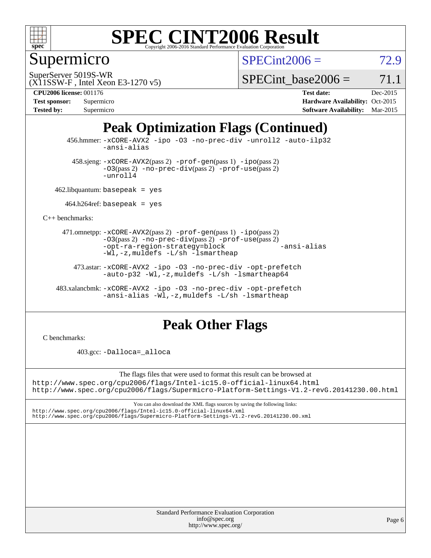

### Supermicro

 $SPECint2006 = 72.9$  $SPECint2006 = 72.9$ 

(X11SSW-F , Intel Xeon E3-1270 v5) SuperServer 5019S-WR

SPECint base2006 =  $71.1$ 

| <b>Test sponsor:</b> | Supermicro |
|----------------------|------------|
| <b>Tested by:</b>    | Supermicro |

**[CPU2006 license:](http://www.spec.org/auto/cpu2006/Docs/result-fields.html#CPU2006license)** 001176 **[Test date:](http://www.spec.org/auto/cpu2006/Docs/result-fields.html#Testdate)** Dec-2015 **[Hardware Availability:](http://www.spec.org/auto/cpu2006/Docs/result-fields.html#HardwareAvailability)** Oct-2015 **[Software Availability:](http://www.spec.org/auto/cpu2006/Docs/result-fields.html#SoftwareAvailability)** Mar-2015

## **[Peak Optimization Flags \(Continued\)](http://www.spec.org/auto/cpu2006/Docs/result-fields.html#PeakOptimizationFlags)**

 456.hmmer: [-xCORE-AVX2](http://www.spec.org/cpu2006/results/res2016q1/cpu2006-20160125-38783.flags.html#user_peakCOPTIMIZE456_hmmer_f-xAVX2_5f5fc0cbe2c9f62c816d3e45806c70d7) [-ipo](http://www.spec.org/cpu2006/results/res2016q1/cpu2006-20160125-38783.flags.html#user_peakCOPTIMIZE456_hmmer_f-ipo) [-O3](http://www.spec.org/cpu2006/results/res2016q1/cpu2006-20160125-38783.flags.html#user_peakCOPTIMIZE456_hmmer_f-O3) [-no-prec-div](http://www.spec.org/cpu2006/results/res2016q1/cpu2006-20160125-38783.flags.html#user_peakCOPTIMIZE456_hmmer_f-no-prec-div) [-unroll2](http://www.spec.org/cpu2006/results/res2016q1/cpu2006-20160125-38783.flags.html#user_peakCOPTIMIZE456_hmmer_f-unroll_784dae83bebfb236979b41d2422d7ec2) [-auto-ilp32](http://www.spec.org/cpu2006/results/res2016q1/cpu2006-20160125-38783.flags.html#user_peakCOPTIMIZE456_hmmer_f-auto-ilp32) [-ansi-alias](http://www.spec.org/cpu2006/results/res2016q1/cpu2006-20160125-38783.flags.html#user_peakCOPTIMIZE456_hmmer_f-ansi-alias)

 $458 \text{.}$ sjeng:  $-x \text{CORE-AVX2}(pass 2)$  -prof-qen(pass 1) [-ipo](http://www.spec.org/cpu2006/results/res2016q1/cpu2006-20160125-38783.flags.html#user_peakPASS2_CFLAGSPASS2_LDCFLAGS458_sjeng_f-ipo)(pass 2) [-O3](http://www.spec.org/cpu2006/results/res2016q1/cpu2006-20160125-38783.flags.html#user_peakPASS2_CFLAGSPASS2_LDCFLAGS458_sjeng_f-O3)(pass 2) [-no-prec-div](http://www.spec.org/cpu2006/results/res2016q1/cpu2006-20160125-38783.flags.html#user_peakPASS2_CFLAGSPASS2_LDCFLAGS458_sjeng_f-no-prec-div)(pass 2) [-prof-use](http://www.spec.org/cpu2006/results/res2016q1/cpu2006-20160125-38783.flags.html#user_peakPASS2_CFLAGSPASS2_LDCFLAGS458_sjeng_prof_use_bccf7792157ff70d64e32fe3e1250b55)(pass 2) [-unroll4](http://www.spec.org/cpu2006/results/res2016q1/cpu2006-20160125-38783.flags.html#user_peakCOPTIMIZE458_sjeng_f-unroll_4e5e4ed65b7fd20bdcd365bec371b81f)

462.libquantum: basepeak = yes

 $464.h264$ ref: basepeak = yes

[C++ benchmarks:](http://www.spec.org/auto/cpu2006/Docs/result-fields.html#CXXbenchmarks)

 471.omnetpp: [-xCORE-AVX2](http://www.spec.org/cpu2006/results/res2016q1/cpu2006-20160125-38783.flags.html#user_peakPASS2_CXXFLAGSPASS2_LDCXXFLAGS471_omnetpp_f-xAVX2_5f5fc0cbe2c9f62c816d3e45806c70d7)(pass 2) [-prof-gen](http://www.spec.org/cpu2006/results/res2016q1/cpu2006-20160125-38783.flags.html#user_peakPASS1_CXXFLAGSPASS1_LDCXXFLAGS471_omnetpp_prof_gen_e43856698f6ca7b7e442dfd80e94a8fc)(pass 1) [-ipo](http://www.spec.org/cpu2006/results/res2016q1/cpu2006-20160125-38783.flags.html#user_peakPASS2_CXXFLAGSPASS2_LDCXXFLAGS471_omnetpp_f-ipo)(pass 2) [-O3](http://www.spec.org/cpu2006/results/res2016q1/cpu2006-20160125-38783.flags.html#user_peakPASS2_CXXFLAGSPASS2_LDCXXFLAGS471_omnetpp_f-O3)(pass 2) [-no-prec-div](http://www.spec.org/cpu2006/results/res2016q1/cpu2006-20160125-38783.flags.html#user_peakPASS2_CXXFLAGSPASS2_LDCXXFLAGS471_omnetpp_f-no-prec-div)(pass 2) [-prof-use](http://www.spec.org/cpu2006/results/res2016q1/cpu2006-20160125-38783.flags.html#user_peakPASS2_CXXFLAGSPASS2_LDCXXFLAGS471_omnetpp_prof_use_bccf7792157ff70d64e32fe3e1250b55)(pass 2) [-opt-ra-region-strategy=block](http://www.spec.org/cpu2006/results/res2016q1/cpu2006-20160125-38783.flags.html#user_peakCXXOPTIMIZE471_omnetpp_f-opt-ra-region-strategy_5382940c29ea30302d682fc74bfe0147) [-ansi-alias](http://www.spec.org/cpu2006/results/res2016q1/cpu2006-20160125-38783.flags.html#user_peakCXXOPTIMIZE471_omnetpp_f-ansi-alias) [-Wl,-z,muldefs](http://www.spec.org/cpu2006/results/res2016q1/cpu2006-20160125-38783.flags.html#user_peakEXTRA_LDFLAGS471_omnetpp_link_force_multiple1_74079c344b956b9658436fd1b6dd3a8a) [-L/sh -lsmartheap](http://www.spec.org/cpu2006/results/res2016q1/cpu2006-20160125-38783.flags.html#user_peakEXTRA_LIBS471_omnetpp_SmartHeap_32f6c82aa1ed9c52345d30cf6e4a0499)

 473.astar: [-xCORE-AVX2](http://www.spec.org/cpu2006/results/res2016q1/cpu2006-20160125-38783.flags.html#user_peakCXXOPTIMIZE473_astar_f-xAVX2_5f5fc0cbe2c9f62c816d3e45806c70d7) [-ipo](http://www.spec.org/cpu2006/results/res2016q1/cpu2006-20160125-38783.flags.html#user_peakCXXOPTIMIZE473_astar_f-ipo) [-O3](http://www.spec.org/cpu2006/results/res2016q1/cpu2006-20160125-38783.flags.html#user_peakCXXOPTIMIZE473_astar_f-O3) [-no-prec-div](http://www.spec.org/cpu2006/results/res2016q1/cpu2006-20160125-38783.flags.html#user_peakCXXOPTIMIZE473_astar_f-no-prec-div) [-opt-prefetch](http://www.spec.org/cpu2006/results/res2016q1/cpu2006-20160125-38783.flags.html#user_peakCXXOPTIMIZE473_astar_f-opt-prefetch) [-auto-p32](http://www.spec.org/cpu2006/results/res2016q1/cpu2006-20160125-38783.flags.html#user_peakCXXOPTIMIZE473_astar_f-auto-p32) -Wl,-z, muldefs [-L/sh -lsmartheap64](http://www.spec.org/cpu2006/results/res2016q1/cpu2006-20160125-38783.flags.html#user_peakEXTRA_LIBS473_astar_SmartHeap64_ed4ef857ce90951921efb0d91eb88472)

 483.xalancbmk: [-xCORE-AVX2](http://www.spec.org/cpu2006/results/res2016q1/cpu2006-20160125-38783.flags.html#user_peakCXXOPTIMIZE483_xalancbmk_f-xAVX2_5f5fc0cbe2c9f62c816d3e45806c70d7) [-ipo](http://www.spec.org/cpu2006/results/res2016q1/cpu2006-20160125-38783.flags.html#user_peakCXXOPTIMIZE483_xalancbmk_f-ipo) [-O3](http://www.spec.org/cpu2006/results/res2016q1/cpu2006-20160125-38783.flags.html#user_peakCXXOPTIMIZE483_xalancbmk_f-O3) [-no-prec-div](http://www.spec.org/cpu2006/results/res2016q1/cpu2006-20160125-38783.flags.html#user_peakCXXOPTIMIZE483_xalancbmk_f-no-prec-div) [-opt-prefetch](http://www.spec.org/cpu2006/results/res2016q1/cpu2006-20160125-38783.flags.html#user_peakCXXOPTIMIZE483_xalancbmk_f-opt-prefetch) [-ansi-alias](http://www.spec.org/cpu2006/results/res2016q1/cpu2006-20160125-38783.flags.html#user_peakCXXOPTIMIZE483_xalancbmk_f-ansi-alias) [-Wl,-z,muldefs](http://www.spec.org/cpu2006/results/res2016q1/cpu2006-20160125-38783.flags.html#user_peakEXTRA_LDFLAGS483_xalancbmk_link_force_multiple1_74079c344b956b9658436fd1b6dd3a8a) [-L/sh -lsmartheap](http://www.spec.org/cpu2006/results/res2016q1/cpu2006-20160125-38783.flags.html#user_peakEXTRA_LIBS483_xalancbmk_SmartHeap_32f6c82aa1ed9c52345d30cf6e4a0499)

#### **[Peak Other Flags](http://www.spec.org/auto/cpu2006/Docs/result-fields.html#PeakOtherFlags)**

[C benchmarks](http://www.spec.org/auto/cpu2006/Docs/result-fields.html#Cbenchmarks):

403.gcc: [-Dalloca=\\_alloca](http://www.spec.org/cpu2006/results/res2016q1/cpu2006-20160125-38783.flags.html#b403.gcc_peakEXTRA_CFLAGS_Dalloca_be3056838c12de2578596ca5467af7f3)

The flags files that were used to format this result can be browsed at

<http://www.spec.org/cpu2006/flags/Intel-ic15.0-official-linux64.html> <http://www.spec.org/cpu2006/flags/Supermicro-Platform-Settings-V1.2-revG.20141230.00.html>

You can also download the XML flags sources by saving the following links: <http://www.spec.org/cpu2006/flags/Intel-ic15.0-official-linux64.xml> <http://www.spec.org/cpu2006/flags/Supermicro-Platform-Settings-V1.2-revG.20141230.00.xml>